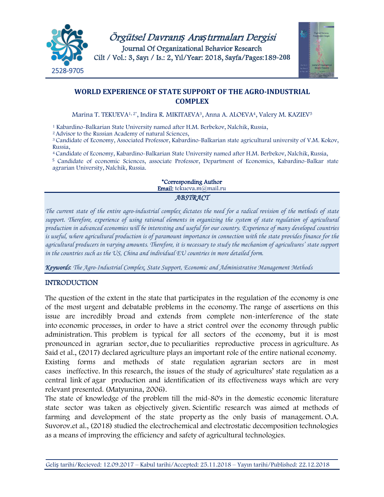

Örgütsel Davranı*ş* Ara*ş*tırmaları Dergisi Journal Of Organizational Behavior Research Cilt / Vol.: 3, Sayı / Is.: 2, Yıl/Year: 2018, Sayfa/Pages:189**-208**



# **WORLD EXPERIENCE OF STATE SUPPORT OF THE AGRO-INDUSTRIAL COMPLEX**

Marina T. TEKUEVA1, 2\* , Indira R. MIKITAEVA3, Anna A. ALOEVA4, Valery M. KAZIEV<sup>5</sup>

<sup>1</sup> Kabardino-Balkarian State University named after H.M. Berbekov, Nalchik, Russia,

<sup>2</sup>Advisor to the Russian Academy of natural Sciences,

<sup>3</sup>Candidate of Economy, Associated Professor, Kabardino-Balkarian state agricultural university of V.M. Kokov, Russia,

<sup>4</sup>Candidate of Economy, Kabardino-Balkarian State University named after H.M. Berbekov, Nalchik, Russia,

<sup>5</sup>Candidate of economic Sciences, associate Professor, Department of Economics, Kabardino-Balkar state agrarian University, Nalchik, Russia.

> \*Corresponding Author Email: tekueva.m@mail.ru

## *ABSTRACT*

*The current state of the entire agro-industrial complex dictates the need for a radical revision of the methods of state support. Therefore, experience of using rational elements in organizing the system of state regulation of agricultural production in advanced economies will be interesting and useful for our country. Experience of many developed countries is useful, where agricultural production is of paramount importance in connection with the state provides finance for the agricultural producers in varying amounts. Therefore, it is necessary to study the mechanism of agricultures' state support in the countries such as the US, China and individual EU countries in more detailed form.*

*Keywords*: *The Agro-Industrial Complex, State Support, Economic and Administrative Management Methods*

## INTRODUCTION

The question of the extent in the state that participates in the regulation of the economy is one of the most urgent and debatable problems in the economy. The range of assertions on this issue are incredibly broad and extends from complete non-interference of the state into economic processes, in order to have a strict control over the economy through public administration. This problem is typical for all sectors of the economy, but it is most pronounced in agrarian sector, due to peculiarities reproductive process in agriculture. As Said et al., (2017) declared agriculture plays an important role of the entire national economy. Existing forms and methods of state regulation agrarian sectors are in most cases ineffective. In this research, the issues of the study of agricultures' state regulation as a central link of agar production and identification of its effectiveness ways which are very relevant presented. (Matyunina, 2006).

The state of knowledge of the problem till the mid-80's in the domestic economic literature state sector was taken as objectively given. Scientific research was aimed at methods of farming and development of the state property as the only basis of management. O.A. Suvorov.et al., (2018) studied the electrochemical and electrostatic decomposition technologies as a means of improving the efficiency and safety of agricultural technologies.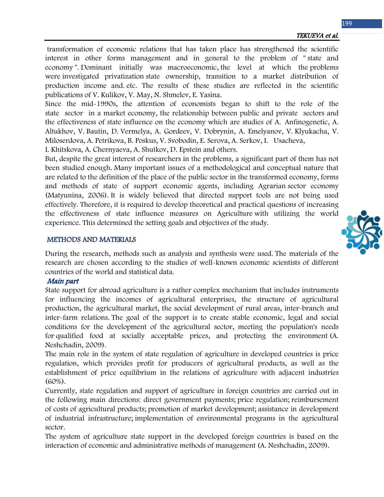transformation of economic relations that has taken place has strengthened the scientific interest in other forms management and in general to the problem of " state and economy ". Dominant initially was macroeconomic, the level at which the problems were investigated privatization state ownership, transition to a market distribution of production income and. etc. The results of these studies are reflected in the scientific publications of V. Kulikov, V. May, N. Shmelev, E. Yasina.

Since the mid-1990s, the attention of economists began to shift to the role of the state sector in a market economy, the relationship between public and private sectors and the effectiveness of state influence on the economy which are studies of A. Anfinogenetic, A. Altukhov, V. Bautin, D. Vermelya, A. Gordeev, V. Dobrynin, A. Emelyanov, V. Klyukacha, V. Miloserdova, A. Petrikova, B. Poskus, V. Svobodin, E. Serova, A. Serkov, I. Usacheva,

I. Khitskova, A. Chernyaeva, A. Shutkov, D. Epstein and others.

But, despite the great interest of researchers in the problems, a significant part of them has not been studied enough. Many important issues of a methodological and conceptual nature that are related to the definition of the place of the public sector in the transformed economy, forms and methods of state of support economic agents, including Agrarian sector economy (Matyunina, 2006). It is widely believed that directed support tools are not being used effectively. Therefore, it is required to develop theoretical and practical questions of increasing the effectiveness of state influence measures on Agriculture with utilizing the world experience. This determined the setting goals and objectives of the study.

### METHODS AND MATERIALS

During the research, methods such as analysis and synthesis were used. The materials of the research are chosen according to the studies of well-known economic scientists of different countries of the world and statistical data.

## Main part

State support for abroad agriculture is a rather complex mechanism that includes instruments for influencing the incomes of agricultural enterprises, the structure of agricultural production, the agricultural market, the social development of rural areas, inter-branch and inter-farm relations. The goal of the support is to create stable economic, legal and social conditions for the development of the agricultural sector, meeting the population's needs for qualified food at socially acceptable prices, and protecting the environment (A. Neshchadin, 2009).

The main role in the system of state regulation of agriculture in developed countries is price regulation, which provides profit for producers of agricultural products, as well as the establishment of price equilibrium in the relations of agriculture with adjacent industries (60%).

Currently, state regulation and support of agriculture in foreign countries are carried out in the following main directions: direct government payments; price regulation; reimbursement of costs of agricultural products; promotion of market development; assistance in development of industrial infrastructure; implementation of environmental programs in the agricultural sector.

The system of agriculture state support in the developed foreign countries is based on the interaction of economic and administrative methods of management (A. Neshchadin, 2009).

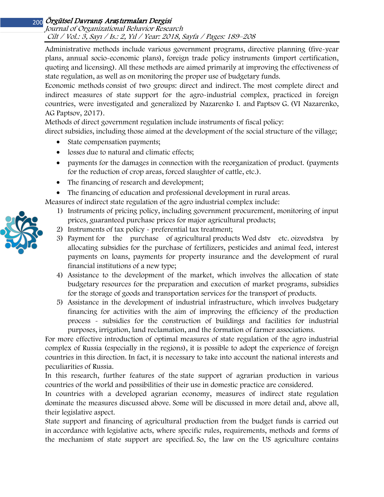## Journal of Organizational Behavior Research Cilt / Vol.: 3, Sayı / Is.: 2, Yıl / Year: 2018, Sayfa / Pages: 189–208

Administrative methods include various government programs, directive planning (five-year plans, annual socio-economic plans), foreign trade policy instruments (import certification, quoting and licensing). All these methods are aimed primarily at improving the effectiveness of state regulation, as well as on monitoring the proper use of budgetary funds.

Economic methods consist of two groups: direct and indirect. The most complete direct and indirect measures of state support for the agro-industrial complex, practiced in foreign countries, were investigated and generalized by Nazarenko I. and Paptsov G. (VI Nazarenko, AG Paptsov, 2017).

Methods of direct government regulation include instruments of fiscal policy:

direct subsidies, including those aimed at the development of the social structure of the village;

- State compensation payments;
- losses due to natural and climatic effects;
- payments for the damages in connection with the reorganization of product. (payments for the reduction of crop areas, forced slaughter of cattle, etc.).
- The financing of research and development;
- The financing of education and professional development in rural areas.

Measures of indirect state regulation of the agro industrial complex include:

- 1) Instruments of pricing policy, including government procurement, monitoring of input prices, guaranteed purchase prices for major agricultural products;
- 2) Instruments of tax policy preferential tax treatment;
- 3) Payment for the purchase of agricultural products Wed dstv etc. oizvodstva by allocating subsidies for the purchase of fertilizers, pesticides and animal feed, interest payments on loans, payments for property insurance and the development of rural financial institutions of a new type;
- 4) Assistance to the development of the market, which involves the allocation of state budgetary resources for the preparation and execution of market programs, subsidies for the storage of goods and transportation services for the transport of products.
- 5) Assistance in the development of industrial infrastructure, which involves budgetary financing for activities with the aim of improving the efficiency of the production process - subsidies for the construction of buildings and facilities for industrial purposes, irrigation, land reclamation, and the formation of farmer associations.

For more effective introduction of optimal measures of state regulation of the agro industrial complex of Russia (especially in the regions), it is possible to adopt the experience of foreign countries in this direction. In fact, it is necessary to take into account the national interests and peculiarities of Russia.

In this research, further features of the state support of agrarian production in various countries of the world and possibilities of their use in domestic practice are considered.

In countries with a developed agrarian economy, measures of indirect state regulation dominate the measures discussed above. Some will be discussed in more detail and, above all, their legislative aspect.

State support and financing of agricultural production from the budget funds is carried out in accordance with legislative acts, where specific rules, requirements, methods and forms of the mechanism of state support are specified. So, the law on the US agriculture contains

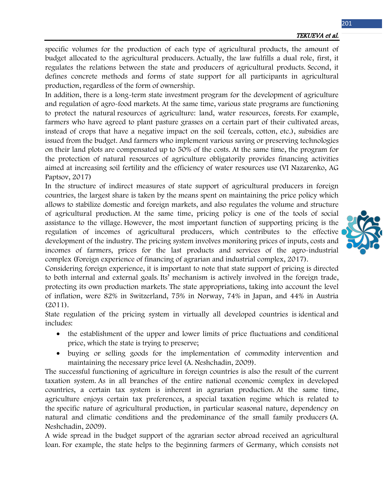specific volumes for the production of each type of agricultural products, the amount of budget allocated to the agricultural producers. Actually, the law fulfills a dual role, first, it regulates the relations between the state and producers of agricultural products. Second, it defines concrete methods and forms of state support for all participants in agricultural production, regardless of the form of ownership.

In addition, there is a long-term state investment program for the development of agriculture and regulation of agro-food markets. At the same time, various state programs are functioning to protect the natural resources of agriculture: land, water resources, forests. For example, farmers who have agreed to plant pasture grasses on a certain part of their cultivated areas, instead of crops that have a negative impact on the soil (cereals, cotton, etc.), subsidies are issued from the budget. And farmers who implement various saving or preserving technologies on their land plots are compensated up to 50% of the costs. At the same time, the program for the protection of natural resources of agriculture obligatorily provides financing activities aimed at increasing soil fertility and the efficiency of water resources use (VI Nazarenko, AG Paptsov, 2017)

In the structure of indirect measures of state support of agricultural producers in foreign countries, the largest share is taken by the means spent on maintaining the price policy which allows to stabilize domestic and foreign markets, and also regulates the volume and structure of agricultural production. At the same time, pricing policy is one of the tools of social assistance to the village. However, the most important function of supporting pricing is the regulation of incomes of agricultural producers, which contributes to the effective development of the industry. The pricing system involves monitoring prices of inputs, costs and incomes of farmers, prices for the last products and services of the agro-industrial complex (Foreign experience of financing of agrarian and industrial complex, 2017).

Considering foreign experience, it is important to note that state support of pricing is directed to both internal and external goals. Its' mechanism is actively involved in the foreign trade, protecting its own production markets. The state appropriations, taking into account the level of inflation, were 82% in Switzerland, 75% in Norway, 74% in Japan, and 44% in Austria (2011).

State regulation of the pricing system in virtually all developed countries is identical and includes:

- the establishment of the upper and lower limits of price fluctuations and conditional price, which the state is trying to preserve;
- buying or selling goods for the implementation of commodity intervention and maintaining the necessary price level (A. Neshchadin, 2009).

The successful functioning of agriculture in foreign countries is also the result of the current taxation system. As in all branches of the entire national economic complex in developed countries, a certain tax system is inherent in agrarian production. At the same time, agriculture enjoys certain tax preferences, a special taxation regime which is related to the specific nature of agricultural production, in particular seasonal nature, dependency on natural and climatic conditions and the predominance of the small family producers (A. Neshchadin, 2009).

A wide spread in the budget support of the agrarian sector abroad received an agricultural loan. For example, the state helps to the beginning farmers of Germany, which consists not

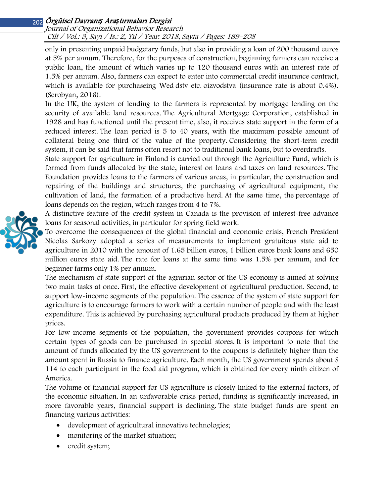## Journal of Organizational Behavior Research Cilt / Vol.: 3, Sayı / Is.: 2, Yıl / Year: 2018, Sayfa / Pages: 189–208

only in presenting unpaid budgetary funds, but also in providing a loan of 200 thousand euros at 5% per annum. Therefore, for the purposes of construction, beginning farmers can receive a public loan, the amount of which varies up to 120 thousand euros with an interest rate of 1.5% per annum. Also, farmers can expect to enter into commercial credit insurance contract, which is available for purchaseing Wed dstv etc. oizvodstva (insurance rate is about 0.4%). (Serobyan, 2016).

In the UK, the system of lending to the farmers is represented by mortgage lending on the security of available land resources. The Agricultural Mortgage Corporation, established in 1928 and has functioned until the present time, also, it receives state support in the form of a reduced interest. The loan period is 5 to 40 years, with the maximum possible amount of collateral being one third of the value of the property. Considering the short-term credit system, it can be said that farms often resort not to traditional bank loans, but to overdrafts.

State support for agriculture in Finland is carried out through the Agriculture Fund, which is formed from funds allocated by the state, interest on loans and taxes on land resources. The Foundation provides loans to the farmers of various areas, in particular, the construction and repairing of the buildings and structures, the purchasing of agricultural equipment, the cultivation of land, the formation of a productive herd. At the same time, the percentage of loans depends on the region, which ranges from 4 to 7%.

A distinctive feature of the credit system in Canada is the provision of interest-free advance loans for seasonal activities, in particular for spring field work.

To overcome the consequences of the global financial and economic crisis, French President Nicolas Sarkozy adopted a series of measurements to implement gratuitous state aid to agriculture in 2010 with the amount of 1.65 billion euros, 1 billion euros bank loans and 650 million euros state aid. The rate for loans at the same time was 1.5% per annum, and for beginner farms only 1% per annum.

The mechanism of state support of the agrarian sector of the US economy is aimed at solving two main tasks at once. First, the effective development of agricultural production. Second, to support low-income segments of the population. The essence of the system of state support for agriculture is to encourage farmers to work with a certain number of people and with the least expenditure. This is achieved by purchasing agricultural products produced by them at higher prices.

For low-income segments of the population, the government provides coupons for which certain types of goods can be purchased in special stores. It is important to note that the amount of funds allocated by the US government to the coupons is definitely higher than the amount spent in Russia to finance agriculture. Each month, the US government spends about \$ 114 to each participant in the food aid program, which is obtained for every ninth citizen of America.

The volume of financial support for US agriculture is closely linked to the external factors, of the economic situation. In an unfavorable crisis period, funding is significantly increased, in more favorable years, financial support is declining. The state budget funds are spent on financing various activities:

- development of agricultural innovative technologies;
- monitoring of the market situation;
- credit system;

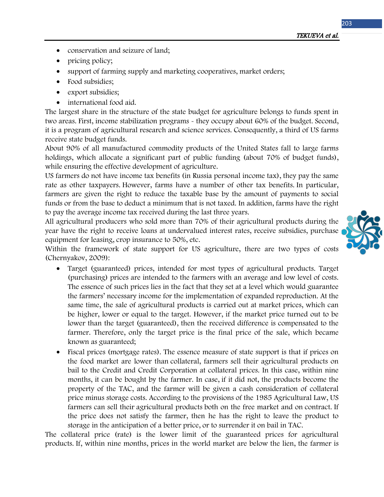TEKUEVA et al.

- conservation and seizure of land;
- pricing policy;
- support of farming supply and marketing cooperatives, market orders;
- Food subsidies;
- export subsidies;
- international food aid.

The largest share in the structure of the state budget for agriculture belongs to funds spent in two areas. First, income stabilization programs - they occupy about 60% of the budget. Second, it is a program of agricultural research and science services. Consequently, a third of US farms receive state budget funds.

About 90% of all manufactured commodity products of the United States fall to large farms holdings, which allocate a significant part of public funding (about 70% of budget funds), while ensuring the effective development of agriculture.

US farmers do not have income tax benefits (in Russia personal income tax), they pay the same rate as other taxpayers. However, farms have a number of other tax benefits. In particular, farmers are given the right to reduce the taxable base by the amount of payments to social funds or from the base to deduct a minimum that is not taxed. In addition, farms have the right to pay the average income tax received during the last three years.

All agricultural producers who sold more than 70% of their agricultural products during the year have the right to receive loans at undervalued interest rates, receive subsidies, purchase equipment for leasing, crop insurance to 50%, etc.

Within the framework of state support for US agriculture, there are two types of costs (Chernyakov, 2009):

- Target (guaranteed) prices, intended for most types of agricultural products. Target (purchasing) prices are intended to the farmers with an average and low level of costs. The essence of such prices lies in the fact that they set at a level which would guarantee the farmers' necessary income for the implementation of expanded reproduction. At the same time, the sale of agricultural products is carried out at market prices, which can be higher, lower or equal to the target. However, if the market price turned out to be lower than the target (guaranteed), then the received difference is compensated to the farmer. Therefore, only the target price is the final price of the sale, which became known as guaranteed;
- Fiscal prices (mortgage rates). The essence measure of state support is that if prices on the food market are lower than collateral, farmers sell their agricultural products on bail to the Credit and Credit Corporation at collateral prices. In this case, within nine months, it can be bought by the farmer. In case, if it did not, the products become the property of the TAC, and the farmer will be given a cash consideration of collateral price minus storage costs. According to the provisions of the 1985 Agricultural Law, US farmers can sell their agricultural products both on the free market and on contract. If the price does not satisfy the farmer, then he has the right to leave the product to storage in the anticipation of a better price, or to surrender it on bail in TAC.

The collateral price (rate) is the lower limit of the guaranteed prices for agricultural products. If, within nine months, prices in the world market are below the lien, the farmer is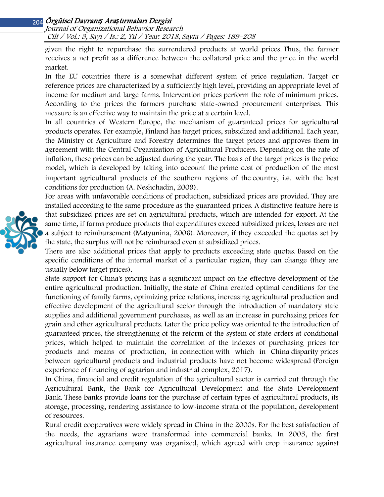Journal of Organizational Behavior Research Cilt / Vol.: 3, Sayı / Is.: 2, Yıl / Year: 2018, Sayfa / Pages: 189–208

given the right to repurchase the surrendered products at world prices. Thus, the farmer receives a net profit as a difference between the collateral price and the price in the world market.

In the EU countries there is a somewhat different system of price regulation. Target or reference prices are characterized by a sufficiently high level, providing an appropriate level of income for medium and large farms. Intervention prices perform the role of minimum prices. According to the prices the farmers purchase state-owned procurement enterprises. This measure is an effective way to maintain the price at a certain level.

In all countries of Western Europe, the mechanism of guaranteed prices for agricultural products operates. For example, Finland has target prices, subsidized and additional. Each year, the Ministry of Agriculture and Forestry determines the target prices and approves them in agreement with the Central Organization of Agricultural Producers. Depending on the rate of inflation, these prices can be adjusted during the year. The basis of the target prices is the price model, which is developed by taking into account the prime cost of production of the most important agricultural products of the southern regions of the country, i.е. with the best conditions for production (A. Neshchadin, 2009).

For areas with unfavorable conditions of production, subsidized prices are provided. They are installed according to the same procedure as the guaranteed prices. A distinctive feature here is that subsidized prices are set on agricultural products, which are intended for export. At the same time, if farms produce products that expenditures exceed subsidized prices, losses are not a subject to reimbursement (Matyunina, 2006). Moreover, if they exceeded the quotas set by the state, the surplus will not be reimbursed even at subsidized prices.

There are also additional prices that apply to products exceeding state quotas. Based on the specific conditions of the internal market of a particular region, they can change (they are usually below target prices).

State support for China's pricing has a significant impact on the effective development of the entire agricultural production. Initially, the state of China created optimal conditions for the functioning of family farms, optimizing price relations, increasing agricultural production and effective development of the agricultural sector through the introduction of mandatory state supplies and additional government purchases, as well as an increase in purchasing prices for grain and other agricultural products. Later the price policy was oriented to the introduction of guaranteed prices, the strengthening of the reform of the system of state orders at conditional prices, which helped to maintain the correlation of the indexes of purchasing prices for products and means of production, in connection with which in China disparity prices between agricultural products and industrial products have not become widespread (Foreign experience of financing of agrarian and industrial complex, 2017).

In China, financial and credit regulation of the agricultural sector is carried out through the Agricultural Bank, the Bank for Agricultural Development and the State Development Bank. These banks provide loans for the purchase of certain types of agricultural products, its storage, processing, rendering assistance to low-income strata of the population, development of resources.

Rural credit cooperatives were widely spread in China in the 2000s. For the best satisfaction of the needs, the agrarians were transformed into commercial banks. In 2005, the first agricultural insurance company was organized, which agreed with crop insurance against

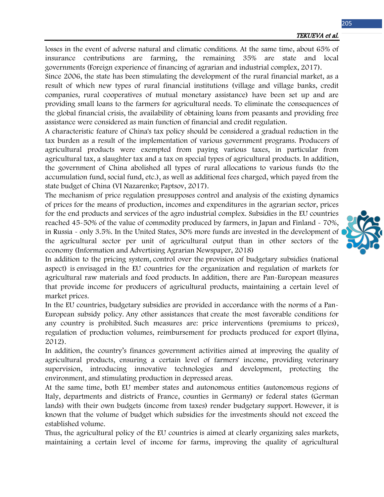losses in the event of adverse natural and climatic conditions. At the same time, about 65% of insurance contributions are farming, the remaining 35% are state and local governments (Foreign experience of financing of agrarian and industrial complex, 2017).

Since 2006, the state has been stimulating the development of the rural financial market, as a result of which new types of rural financial institutions (village and village banks, credit companies, rural cooperatives of mutual monetary assistance) have been set up and are providing small loans to the farmers for agricultural needs. To eliminate the consequences of the global financial crisis, the availability of obtaining loans from peasants and providing free assistance were considered as main function of financial and credit regulation.

A characteristic feature of China's tax policy should be considered a gradual reduction in the tax burden as a result of the implementation of various government programs. Producers of agricultural products were exempted from paying various taxes, in particular from agricultural tax, a slaughter tax and a tax on special types of agricultural products. In addition, the government of China abolished all types of rural allocations to various funds (to the accumulation fund, social fund, etc.), as well as additional fees charged, which payed from the state budget of China (VI Nazarenko; Paptsov, 2017).

The mechanism of price regulation presupposes control and analysis of the existing dynamics of prices for the means of production, incomes and expenditures in the agrarian sector, prices for the end products and services of the agro industrial complex. Subsidies in the EU countries reached 45-50% of the value of commodity produced by farmers, in Japan and Finland - 70%, in Russia - only 3.5%. In the United States, 30% more funds are invested in the development of the agricultural sector per unit of agricultural output than in other sectors of the economy (Information and Advertising Agrarian Newspaper, 2018)

In addition to the pricing system, control over the provision of budgetary subsidies (national aspect) is envisaged in the EU countries for the organization and regulation of markets for agricultural raw materials and food products. In addition, there are Pan-European measures that provide income for producers of agricultural products, maintaining a certain level of market prices.

In the EU countries, budgetary subsidies are provided in accordance with the norms of a Pan-European subsidy policy. Any other assistances that create the most favorable conditions for any country is prohibited. Such measures are: price interventions (premiums to prices), regulation of production volumes, reimbursement for products produced for export (Ilyina, 2012).

In addition, the country's finances government activities aimed at improving the quality of agricultural products, ensuring a certain level of farmers' income, providing veterinary supervision, introducing innovative technologies and development, protecting the environment, and stimulating production in depressed areas.

At the same time, both EU member states and autonomous entities (autonomous regions of Italy, departments and districts of France, counties in Germany) or federal states (German lands) with their own budgets (income from taxes) render budgetary support. However, it is known that the volume of budget which subsidies for the investments should not exceed the established volume.

Thus, the agricultural policy of the EU countries is aimed at clearly organizing sales markets, maintaining a certain level of income for farms, improving the quality of agricultural

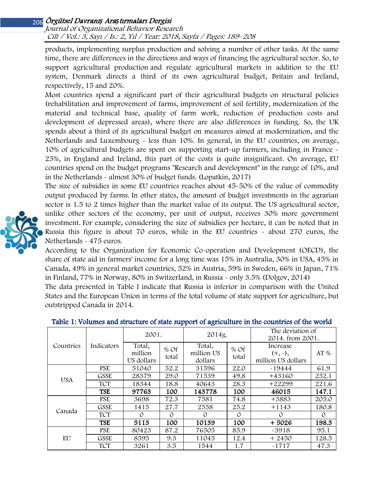## Journal of Organizational Behavior Research Cilt / Vol.: 3, Sayı / Is.: 2, Yıl / Year: 2018, Sayfa / Pages: 189–208

products, implementing surplus production and solving a number of other tasks. At the same time, there are differences in the directions and ways of financing the agricultural sector. So, to support agricultural production and regulate agricultural markets in addition to the EU system, Denmark directs a third of its own agricultural budget, Britain and Ireland, respectively, 15 and 20%.

Most countries spend a significant part of their agricultural budgets on structural policies (rehabilitation and improvement of farms, improvement of soil fertility, modernization of the material and technical base, quality of farm work, reduction of production costs and development of depressed areas), where there are also differences in funding. So, the UK spends about a third of its agricultural budget on measures aimed at modernization, and the Netherlands and Luxembourg - less than 10%. In general, in the EU countries, on average, 10% of agricultural budgets are spent on supporting start-up farmers, including in France - 25%, in England and Ireland, this part of the costs is quite insignificant. On average, EU countries spend on the budget programs "Research and development" in the range of 10%, and in the Netherlands - almost 30% of budget funds. (Lopatkin, 2017)

The size of subsidies in some EU countries reaches about 45-50% of the value of commodity output produced by farms. In other states, the amount of budget investments in the agrarian sector is 1.5 to 2 times higher than the market value of its output. The US agricultural sector, unlike other sectors of the economy, per unit of output, receives 30% more government investment. For example, considering the size of subsidies per hectare, it can be noted that in Russia this figure is about 70 euros, while in the EU countries - about 270 euros, the Netherlands - 475 euros.

According to the Organization for Economic Co-operation and Development (OECD), the share of state aid in farmers' income for a long time was 15% in Australia, 30% in USA, 45% in Canada, 49% in general market countries, 52% in Austria, 59% in Sweden, 66% in Japan, 71% in Finland, 77% in Norway, 80% in Switzerland, in Russia - only 3.5% (Dolgov, 2014)

The data presented in Table 1 indicate that Russia is inferior in comparison with the United States and the European Union in terms of the total volume of state support for agriculture, but outstripped Canada in 2014.

| . .<br>ັ   |             |                                 |                 |                                 |                 |                                             |       |  |  |  |  |  |
|------------|-------------|---------------------------------|-----------------|---------------------------------|-----------------|---------------------------------------------|-------|--|--|--|--|--|
| Countries  | Indicators  | 2001.                           |                 | 2014g.                          |                 | The deviation of<br>2014. from 2001.        |       |  |  |  |  |  |
|            |             | Total,<br>million<br>US dollars | $%$ Of<br>total | Total,<br>million US<br>dollars | $%$ Of<br>total | Increase<br>$(+, 2),$<br>million US dollars | AT%   |  |  |  |  |  |
| <b>USA</b> | <b>PSE</b>  | 51040                           | 52.2            | 31596                           | 22.0            | $-19444$                                    | 61.9  |  |  |  |  |  |
|            | <b>GSSE</b> | 28379                           | 29.0            | 71539                           | 49.8            | $+43160$                                    | 252.1 |  |  |  |  |  |
|            | <b>TCT</b>  | 18344                           | 18.8            | 40643                           | 28.3            | $+22299$                                    | 221.6 |  |  |  |  |  |
|            | <b>TSE</b>  | 97763                           | 100             | 143778                          | 100             | 46015                                       | 147.1 |  |  |  |  |  |
| Canada     | <b>PSE</b>  | 3698                            | 72.3            | 7581                            | 74.8            | +3883                                       | 205.0 |  |  |  |  |  |
|            | GSSE        | 1415                            | 27.7            | 2558                            | 25.2            | $+1143$                                     | 180.8 |  |  |  |  |  |
|            | <b>TCT</b>  | $\Omega$                        | $\Omega$        | $\Omega$                        | $\Omega$        | $\Omega$                                    | O     |  |  |  |  |  |
|            | <b>TSE</b>  | 5113                            | 100             | 10139                           | 100             | $+5026$                                     | 198.3 |  |  |  |  |  |
| EU         | <b>PSE</b>  | 80423                           | 87.2            | 76505                           | 85.9            | $-3918$                                     | 95.1  |  |  |  |  |  |
|            | <b>GSSE</b> | 8595                            | 9.3             | 11045                           | 12.4            | $+2450$                                     | 128.5 |  |  |  |  |  |
|            | <b>TCT</b>  | 3261                            | 3.5             | 1544                            | 1.7             | $-1717$                                     | 47.3  |  |  |  |  |  |

## Table 1: Volumes and structure of state support of agriculture in the countries of the world

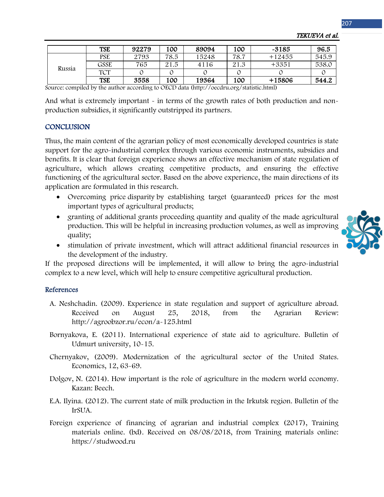|        | <b>TSE</b> | 92279 | 100  | 89094 | 100  | -3185    | 96.5  |
|--------|------------|-------|------|-------|------|----------|-------|
| Russia | <b>PSE</b> | 2793  | 78.5 | 15248 | 78.7 | $+12455$ | 545.9 |
|        | GSSE       | 765   | 21.5 | 4116  | 21.3 | $+3351$  | 538.C |
|        | <b>TCT</b> |       |      |       |      |          |       |
|        | <b>TSE</b> | 3558  | 100  | 19364 | 100  | +15806   | 544.2 |

TEKUEVA et al.

Source: compiled by the author according to OECD data (http://oecdru.org/statistic.html)

And what is extremely important - in terms of the growth rates of both production and nonproduction subsidies, it significantly outstripped its partners.

## **CONCLUSION**

Thus, the main content of the agrarian policy of most economically developed countries is state support for the agro-industrial complex through various economic instruments, subsidies and benefits. It is clear that foreign experience shows an effective mechanism of state regulation of agriculture, which allows creating competitive products, and ensuring the effective functioning of the agricultural sector. Based on the above experience, the main directions of its application are formulated in this research.

- Overcoming price disparity by establishing target (guaranteed) prices for the most important types of agricultural products;
- granting of additional grants proceeding quantity and quality of the made agricultural production. This will be helpful in increasing production volumes, as well as improving quality;
- stimulation of private investment, which will attract additional financial resources in the development of the industry.

If the proposed directions will be implemented, it will allow to bring the agro-industrial complex to a new level, which will help to ensure competitive agricultural production.

### References

- A. Neshchadin. (2009). Experience in state regulation and support of agriculture abroad. Received on August 25, 2018, from the Agrarian Review: http://agroobzor.ru/econ/a-125.html
- Bornyakova, E. (2011). International experience of state aid to agriculture. Bulletin of Udmurt university, 10-15.
- Chernyakov, (2009). Modernization of the agricultural sector of the United States. Economics, 12, 63-69.
- Dolgov, N. (2014). How important is the role of agriculture in the modern world economy. Kazan: Beech.
- E.A. Ilyina. (2012). The current state of milk production in the Irkutsk region. Bulletin of the IrSUA.
- Foreign experience of financing of agrarian and industrial complex (2017), Training materials online. (bd). Received on 08/08/2018, from Training materials online: https://studwood.ru